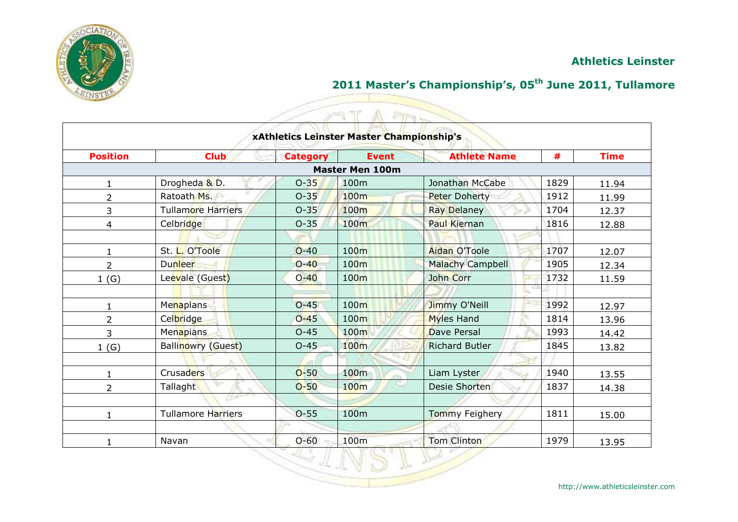

## **2011 Master's Championship's, 05th June 2011, Tullamore**

|                 |                           |                 | xAthletics Leinster Master Championship's | <b>Fire</b>           |      |             |
|-----------------|---------------------------|-----------------|-------------------------------------------|-----------------------|------|-------------|
| <b>Position</b> | <b>Club</b>               | <b>Category</b> | <b>Event</b>                              | <b>Athlete Name</b>   | #    | <b>Time</b> |
|                 |                           |                 | <b>Master Men 100m</b>                    |                       |      |             |
| 1               | Drogheda & D.             | $O-35$          | 100m                                      | Jonathan McCabe       | 1829 | 11.94       |
| $\overline{2}$  | Ratoath Ms.               | $O - 35$        | 100m                                      | <b>Peter Doherty</b>  | 1912 | 11.99       |
| 3               | <b>Tullamore Harriers</b> | $O - 35$        | 100m                                      | <b>Ray Delaney</b>    | 1704 | 12.37       |
| 4               | Celbridge                 | $O - 35$        | 100 <sub>m</sub>                          | <b>Paul Kiernan</b>   | 1816 | 12.88       |
|                 |                           |                 |                                           |                       |      |             |
| 1               | St. L. O'Toole            | $O - 40$        | 100 <sub>m</sub>                          | Aidan O'Toole         | 1707 | 12.07       |
| $\overline{2}$  | Dunleer                   | $O - 40$        | 100 <sub>m</sub>                          | Malachy Campbell      | 1905 | 12.34       |
| 1(G)            | Leevale (Guest)           | $O - 40$        | 100m                                      | John Corr             | 1732 | 11.59       |
|                 |                           |                 |                                           |                       |      |             |
| $\mathbf{1}$    | Menapians                 | $O - 45$        | 100m                                      | Jimmy O'Neill         | 1992 | 12.97       |
| $\overline{2}$  | Celbridge                 | $O - 45$        | 100 <sub>m</sub>                          | <b>Myles Hand</b>     | 1814 | 13.96       |
| 3               | <b>Menapians</b>          | $O - 45$        | 100m                                      | <b>Dave Persal</b>    | 1993 | 14.42       |
| 1(G)            | <b>Ballinowry (Guest)</b> | $O-45$          | 100m                                      | <b>Richard Butler</b> | 1845 | 13.82       |
|                 |                           |                 |                                           |                       |      |             |
| 1               | Crusaders                 | $O-50$          | 100m                                      | Liam Lyster           | 1940 | 13.55       |
| $\overline{2}$  | Tallaght                  | $O-50$          | 100m                                      | Desie Shorten         | 1837 | 14.38       |
|                 |                           |                 |                                           |                       |      |             |
| 1               | <b>Tullamore Harriers</b> | $O-55$          | 100m                                      | <b>Tommy Feighery</b> | 1811 | 15.00       |
|                 |                           |                 |                                           |                       |      |             |
|                 | Navan                     | $O - 60$        | 100m                                      | <b>Tom Clinton</b>    | 1979 | 13.95       |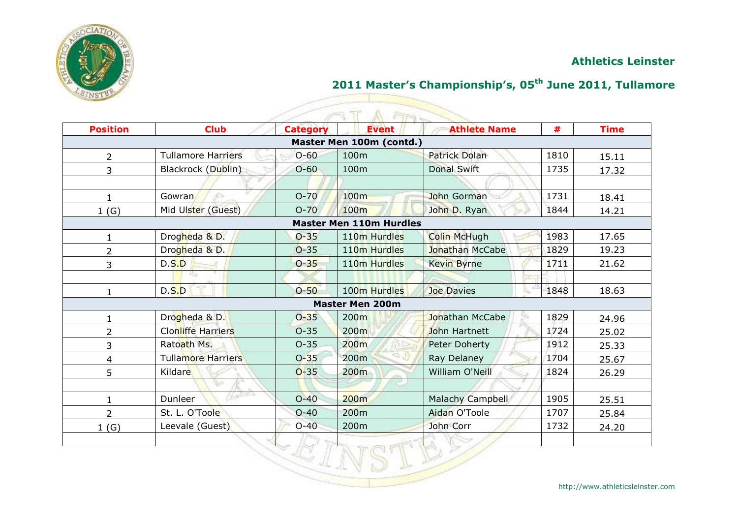

## **2011 Master's Championship's, 05th June 2011, Tullamore**

| $\overline{2}$<br>3<br>Gowran<br>1<br>1(G)<br>$\mathbf{1}$<br>$\overline{2}$<br>D.S.D<br>3<br>D.S.D<br>$\mathbf{1}$ | <b>Tullamore Harriers</b><br>Blackrock (Dublin)<br>Mid Ulster (Guest)<br>Drogheda & D.<br>Drogheda & D.<br>US. | $O - 60$<br>$O-60$<br>$O-70$<br>$O-70$<br>$O - 35$<br>$O - 35$<br>$O - 35$ | Master Men 100m (contd.)<br>100m<br>100m<br>100 <sub>m</sub><br>100 <sub>m</sub><br><b>Master Men 110m Hurdles</b><br>110 <sub>m</sub> Hurdles<br>110 <sub>m</sub> Hurdles<br>110 <sub>m</sub> Hurdles | <b>Patrick Dolan</b><br><b>Donal Swift</b><br>John Gorman<br>John D. Ryan<br><b>Colin McHugh</b><br>Jonathan McCabe<br><b>Kevin Byrne</b> | 1810<br>1735<br>1731<br>1844<br>1983<br>1829<br>1711 |                                                    |
|---------------------------------------------------------------------------------------------------------------------|----------------------------------------------------------------------------------------------------------------|----------------------------------------------------------------------------|--------------------------------------------------------------------------------------------------------------------------------------------------------------------------------------------------------|-------------------------------------------------------------------------------------------------------------------------------------------|------------------------------------------------------|----------------------------------------------------|
|                                                                                                                     |                                                                                                                |                                                                            |                                                                                                                                                                                                        |                                                                                                                                           |                                                      | 15.11                                              |
|                                                                                                                     |                                                                                                                |                                                                            |                                                                                                                                                                                                        |                                                                                                                                           |                                                      | 17.32<br>18.41<br>14.21<br>17.65<br>19.23<br>21.62 |
|                                                                                                                     |                                                                                                                |                                                                            |                                                                                                                                                                                                        |                                                                                                                                           |                                                      |                                                    |
|                                                                                                                     |                                                                                                                |                                                                            |                                                                                                                                                                                                        |                                                                                                                                           |                                                      |                                                    |
|                                                                                                                     |                                                                                                                |                                                                            |                                                                                                                                                                                                        |                                                                                                                                           |                                                      |                                                    |
|                                                                                                                     |                                                                                                                |                                                                            |                                                                                                                                                                                                        |                                                                                                                                           |                                                      |                                                    |
|                                                                                                                     |                                                                                                                |                                                                            |                                                                                                                                                                                                        |                                                                                                                                           |                                                      |                                                    |
|                                                                                                                     |                                                                                                                |                                                                            |                                                                                                                                                                                                        |                                                                                                                                           |                                                      |                                                    |
|                                                                                                                     |                                                                                                                |                                                                            |                                                                                                                                                                                                        |                                                                                                                                           |                                                      |                                                    |
|                                                                                                                     |                                                                                                                |                                                                            |                                                                                                                                                                                                        |                                                                                                                                           |                                                      |                                                    |
|                                                                                                                     |                                                                                                                |                                                                            |                                                                                                                                                                                                        |                                                                                                                                           |                                                      |                                                    |
|                                                                                                                     |                                                                                                                | $O-50$                                                                     | 100 <sub>m</sub> Hurdles                                                                                                                                                                               | Joe Davies                                                                                                                                | 1848                                                 | 18.63                                              |
|                                                                                                                     |                                                                                                                |                                                                            | <b>Master Men 200m</b>                                                                                                                                                                                 |                                                                                                                                           |                                                      |                                                    |
| $\mathbf{1}$                                                                                                        | Drogheda & D.                                                                                                  | $O - 35$                                                                   | 200m                                                                                                                                                                                                   | Jonathan McCabe                                                                                                                           | 1829                                                 | 24.96                                              |
| $\overline{2}$                                                                                                      | <b>Clonliffe Harriers</b>                                                                                      | $O - 35$                                                                   | 200m                                                                                                                                                                                                   | John Hartnett                                                                                                                             | 1724                                                 | 25.02                                              |
| 3                                                                                                                   | Ratoath Ms.                                                                                                    | $O - 35$                                                                   | 200m                                                                                                                                                                                                   | <b>Peter Doherty</b>                                                                                                                      | 1912                                                 | 25.33                                              |
| 4                                                                                                                   | <b>Tullamore Harriers</b>                                                                                      | $O - 35$                                                                   | 200m                                                                                                                                                                                                   | Ray Delaney                                                                                                                               | 1704                                                 | 25.67                                              |
| 5<br>Kildare                                                                                                        |                                                                                                                | $O-35$                                                                     | 200m                                                                                                                                                                                                   | William O'Neill                                                                                                                           | 1824                                                 | 26.29                                              |
|                                                                                                                     |                                                                                                                |                                                                            |                                                                                                                                                                                                        |                                                                                                                                           |                                                      |                                                    |
| Dunleer<br>$\mathbf{1}$                                                                                             |                                                                                                                | $O-40$                                                                     | 200 <sub>m</sub>                                                                                                                                                                                       | Malachy Campbell                                                                                                                          | 1905                                                 | 25.51                                              |
| $\overline{2}$                                                                                                      | St. L. O'Toole                                                                                                 | $O-40$                                                                     | 200m                                                                                                                                                                                                   | Aidan O'Toole                                                                                                                             | 1707                                                 | 25.84                                              |
| 1(G)                                                                                                                | Leevale (Guest)                                                                                                | $O-40$                                                                     | 200m                                                                                                                                                                                                   | John Corr                                                                                                                                 | 1732                                                 | 24.20                                              |
|                                                                                                                     |                                                                                                                |                                                                            |                                                                                                                                                                                                        |                                                                                                                                           |                                                      |                                                    |

<u>Signal propinsi</u>

VSLE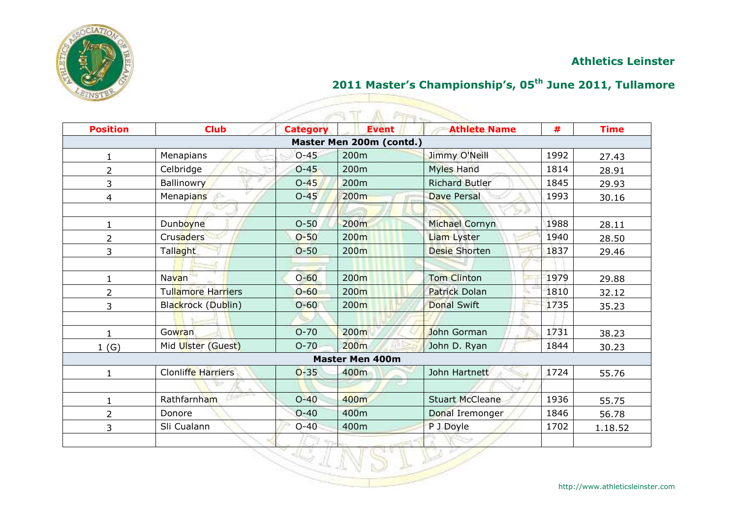

# **2011 Master's Championship's, 05th June 2011, Tullamore**

| <b>Position</b> | <b>Club</b>        | <b>Category</b> | <b>FIFTIN</b><br><b>Event</b> | <b>Athlete Name</b>    | #    | <b>Time</b> |
|-----------------|--------------------|-----------------|-------------------------------|------------------------|------|-------------|
|                 |                    |                 | Master Men 200m (contd.)      |                        |      |             |
| 1               | Menapians          | $O-45$          | 200m                          | Jimmy O'Neill          | 1992 | 27.43       |
| 2               | Celbridge          | $O - 45$        | 200 <sub>m</sub>              | <b>Myles Hand</b>      | 1814 | 28.91       |
| 3               | <b>Ballinowry</b>  | $O - 45$        | 200m                          | <b>Richard Butler</b>  | 1845 | 29.93       |
| 4               | Menapians<br>£     | $O-45$          | 200m                          | Dave Persal            | 1993 | 30.16       |
|                 |                    |                 |                               |                        |      |             |
| 1               | Dunboyne           | $O-50$          | 200 <sub>m</sub>              | Michael Cornyn         | 1988 | 28.11       |
| 2               | Crusaders          | $O - 50$        | 200 <sub>m</sub>              | <b>Liam Lyster</b>     | 1940 | 28.50       |
| 3               | Tallaght           | $O - 50$        | 200 <sub>m</sub>              | <b>Desie Shorten</b>   | 1837 | 29.46       |
|                 |                    |                 |                               |                        |      |             |
| 1               | Navan              | $O - 60$        | 200m                          | <b>Tom Clinton</b>     | 1979 | 29.88       |
| 2               | Tullamore Harriers | $O - 60$        | 200 <sub>m</sub>              | Patrick Dolan          | 1810 | 32.12       |
| 3               | Blackrock (Dublin) | $O - 60$        | 200 <sub>m</sub>              | <b>Donal Swift</b>     | 1735 | 35.23       |
|                 |                    |                 |                               |                        |      |             |
| $\mathbf{1}$    | <b>Gowran</b>      | $O - 70$        | 200m                          | John Gorman            | 1731 | 38.23       |
| 1(G)            | Mid Ulster (Guest) | $O - 70$        | 200m                          | John D. Ryan           | 1844 | 30.23       |
|                 |                    |                 | <b>Master Men 400m</b>        |                        |      |             |
| $\mathbf{1}$    | Clonliffe Harriers | $O-35$          | 400m                          | John Hartnett          | 1724 | 55.76       |
|                 |                    |                 |                               |                        |      |             |
| $\mathbf{1}$    | Rathfarnham        | $O-40$          | 400m                          | <b>Stuart McCleane</b> | 1936 | 55.75       |
| $\overline{2}$  | Donore             | $O - 40$        | 400m                          | Donal Iremonger        | 1846 | 56.78       |
| 3               | Sli Cualann        | $O-40$          | 400m                          | P J Doyle              | 1702 | 1.18.52     |
|                 |                    |                 |                               |                        |      |             |
|                 |                    |                 |                               |                        |      |             |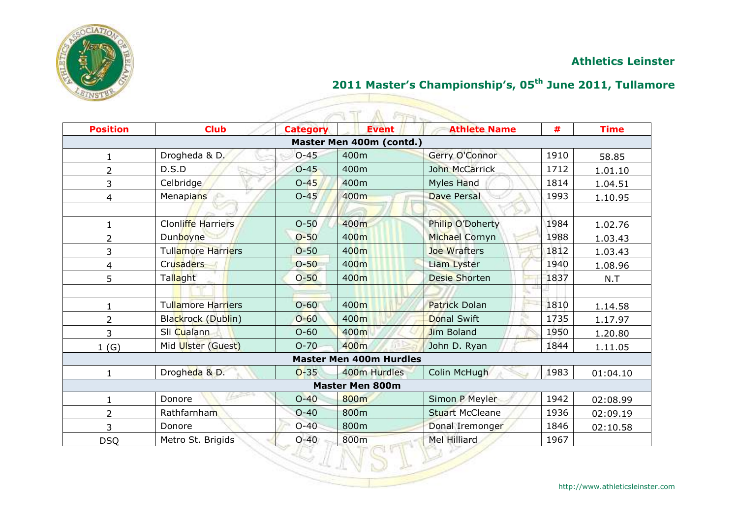

## **2011 Master's Championship's, 05th June 2011, Tullamore**

| <b>Position</b> | <b>Club</b>               | <b>Category</b> | <b>Event</b>                   | <b>Athlete Name</b>    | #    | <b>Time</b> |
|-----------------|---------------------------|-----------------|--------------------------------|------------------------|------|-------------|
|                 |                           |                 | Master Men 400m (contd.)       |                        |      |             |
| $\mathbf{1}$    | Drogheda & D.             | $O - 45$        | 400m                           | Gerry O'Connor         | 1910 | 58.85       |
| $\overline{2}$  | D.S.D                     | $O-45$          | 400m                           | John McCarrick         | 1712 | 1.01.10     |
| 3               | Celbridge                 | $O-45$          | 400m                           | <b>Myles Hand</b>      | 1814 | 1.04.51     |
| 4               | Menapians                 | $O - 45$        | 400m                           | Dave Persal            | 1993 | 1.10.95     |
|                 |                           |                 |                                |                        |      |             |
| 1               | <b>Clonliffe Harriers</b> | $O-50$          | 400m                           | Philip O'Doherty       | 1984 | 1.02.76     |
| $\overline{2}$  | Dunboyne                  | $O - 50$        | 400m                           | Michael Cornyn         | 1988 | 1.03.43     |
| 3               | <b>Tullamore Harriers</b> | $O - 50$        | 400m                           | Joe Wrafters           | 1812 | 1.03.43     |
| 4               | <b>Crusaders</b>          | $O-50$          | 400m                           | Liam Lyster            | 1940 | 1.08.96     |
| 5               | Tallaght                  | $O - 50$        | 400 <sub>m</sub>               | <b>Desie Shorten</b>   | 1837 | N.T         |
|                 |                           |                 |                                |                        |      |             |
| 1               | <b>Tullamore Harriers</b> | $O - 60$        | 400 <sub>m</sub>               | <b>Patrick Dolan</b>   | 1810 | 1.14.58     |
| $\overline{2}$  | Blackrock (Dublin)        | $O - 60$        | 400m                           | <b>Donal Swift</b>     | 1735 | 1.17.97     |
| 3               | Sli Cualann               | $O - 60$        | 400m                           | Jim Boland             | 1950 | 1.20.80     |
| 1(G)            | Mid Ulster (Guest)        | $O-70$          | 400m                           | John D. Ryan           | 1844 | 1.11.05     |
|                 |                           |                 | <b>Master Men 400m Hurdles</b> |                        |      |             |
| 1               | Drogheda & D.             | $O - 35$        | 400m Hurdles                   | Colin McHugh           | 1983 | 01:04.10    |
|                 |                           |                 | <b>Master Men 800m</b>         |                        |      |             |
| $\mathbf{1}$    | Donore                    | $O-40$          | 800m                           | Simon P Meyler         | 1942 | 02:08.99    |
| $\overline{2}$  | Rathfarnham               | $O-40$          | 800m                           | <b>Stuart McCleane</b> | 1936 | 02:09.19    |
| 3               | Donore                    | $O-40$          | 800m                           | Donal Iremonger        | 1846 | 02:10.58    |
| <b>DSQ</b>      | Metro St. Brigids         | $O - 40$        | 800m                           | Mel Hilliard           | 1967 |             |

<u>Signal propinsi</u> 12 FILA

VSLE

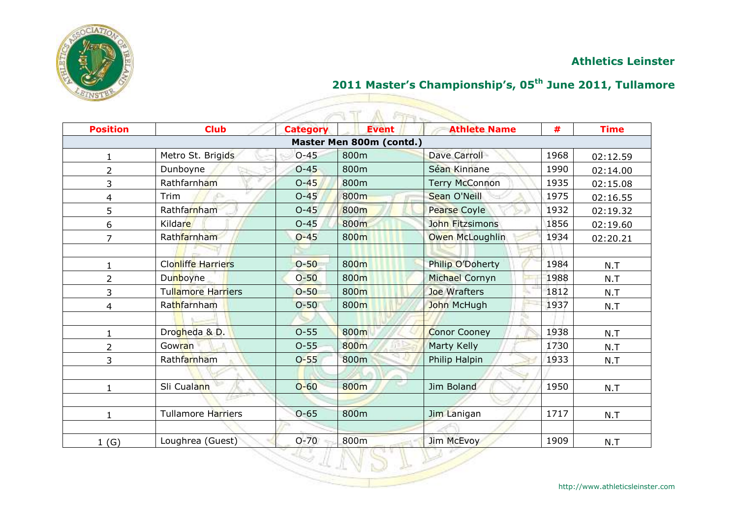

## **2011 Master's Championship's, 05th June 2011, Tullamore**

<u>Signal propinsi</u>

| <b>Fire</b>             |                           |                 |                          |                       |      |             |  |  |  |
|-------------------------|---------------------------|-----------------|--------------------------|-----------------------|------|-------------|--|--|--|
| <b>Position</b>         | <b>Club</b>               | <b>Category</b> | <b>Event</b>             | <b>Athlete Name</b>   | #    | <b>Time</b> |  |  |  |
|                         |                           |                 | Master Men 800m (contd.) |                       |      |             |  |  |  |
|                         | Metro St. Brigids         | $O - 45$        | 800m                     | <b>Dave Carroll</b>   | 1968 | 02:12.59    |  |  |  |
| $\overline{2}$          | Dunboyne                  | $O-45$          | 800m                     | Séan Kinnane          | 1990 | 02:14.00    |  |  |  |
| 3                       | Rathfarnham               | $O-45$          | 800m                     | <b>Terry McConnon</b> | 1935 | 02:15.08    |  |  |  |
| $\overline{\mathbf{4}}$ | Trim                      | $O-45$          | 800m                     | Sean O'Neill          | 1975 | 02:16.55    |  |  |  |
| 5                       | Rathfarnham               | $O-45$          | 800m                     | Pearse Coyle          | 1932 | 02:19.32    |  |  |  |
| 6                       | Kildare                   | $O-45$          | 800m                     | John Fitzsimons       | 1856 | 02:19.60    |  |  |  |
| $\overline{7}$          | Rathfarnham               | $O - 45$        | 800m                     | Owen McLoughlin       | 1934 | 02:20.21    |  |  |  |
|                         |                           |                 |                          |                       |      |             |  |  |  |
| 1                       | <b>Clonliffe Harriers</b> | $O - 50$        | 800m                     | Philip O'Doherty      | 1984 | N.T         |  |  |  |
| $\overline{2}$          | Dunboyne                  | $O-50$          | 800m                     | Michael Cornyn        | 1988 | N.T         |  |  |  |
| 3                       | Tullamore Harriers        | $O-50$          | 800m                     | Joe Wrafters          | 1812 | N.T         |  |  |  |
| 4                       | Rathfarnham               | $O-50$          | 800m                     | John McHugh           | 1937 | N.T         |  |  |  |
|                         |                           |                 |                          | - 13                  |      |             |  |  |  |
| 1                       | Drogheda & D.             | $O - 55$        | 800m                     | <b>Conor Cooney</b>   | 1938 | N.T         |  |  |  |
| $\overline{2}$          | Gowran                    | $O-55$          | 800m                     | Marty Kelly           | 1730 | N.T         |  |  |  |
| 3                       | Rathfarnham               | $O - 55$        | 800m                     | Philip Halpin         | 1933 | N.T         |  |  |  |
|                         |                           |                 |                          |                       |      |             |  |  |  |
| 1                       | Sli Cualann               | $O-60$          | 800m                     | Jim Boland            | 1950 | N.T         |  |  |  |
|                         |                           |                 |                          |                       |      |             |  |  |  |
| $\mathbf{1}$            | <b>Tullamore Harriers</b> | $O-65$          | 800m                     | Jim Lanigan           | 1717 | N.T         |  |  |  |
|                         |                           |                 |                          |                       |      |             |  |  |  |
| 1(G)                    | Loughrea (Guest)          | $O-70$          | 800m                     | Jim McEvoy            | 1909 | N.T         |  |  |  |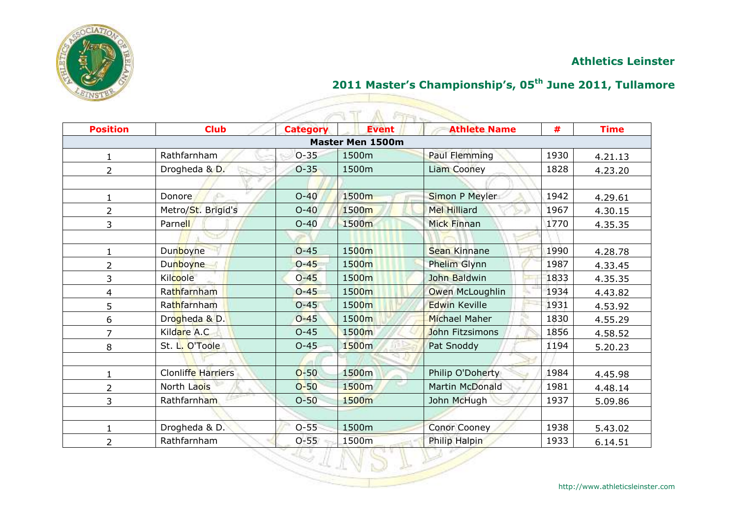

## **2011 Master's Championship's, 05th June 2011, Tullamore**

|                 | $F + \nu$          |                 |                         |                        |      |             |  |  |  |
|-----------------|--------------------|-----------------|-------------------------|------------------------|------|-------------|--|--|--|
| <b>Position</b> | <b>Club</b>        | <b>Category</b> | <b>Event</b>            | <b>Athlete Name</b>    | #    | <b>Time</b> |  |  |  |
|                 |                    |                 | <b>Master Men 1500m</b> |                        |      |             |  |  |  |
| 1               | Rathfarnham        | $O-35$          | 1500m                   | <b>Paul Flemming</b>   | 1930 | 4.21.13     |  |  |  |
| $\overline{2}$  | Drogheda & D.      | $O-35$          | 1500m                   | <b>Liam Cooney</b>     | 1828 | 4.23.20     |  |  |  |
|                 |                    |                 |                         |                        |      |             |  |  |  |
| $\mathbf 1$     | Donore             | $O-40$          | 1500m                   | Simon P Meyler         | 1942 | 4.29.61     |  |  |  |
| $\overline{2}$  | Metro/St. Brigid's | $O-40$          | 1500m                   | <b>Mel Hilliard</b>    | 1967 | 4.30.15     |  |  |  |
| 3               | Parnell            | $O-40$          | 1500m                   | <b>Mick Finnan</b>     | 1770 | 4.35.35     |  |  |  |
|                 |                    |                 |                         |                        |      |             |  |  |  |
|                 | Dunboyne           | $O - 45$        | 1500m                   | <b>Sean Kinnane</b>    | 1990 | 4.28.78     |  |  |  |
| $\overline{2}$  | Dunboyne           | $O - 45$        | 1500m                   | Phelim Glynn           | 1987 | 4.33.45     |  |  |  |
| 3               | Kilcoole           | $O - 45$        | 1500m                   | John Baldwin           | 1833 | 4.35.35     |  |  |  |
| 4               | Rathfarnham        | $O-45$          | 1500m                   | Owen McLoughlin        | 1934 | 4.43.82     |  |  |  |
| 5               | Rathfarnham        | $O - 45$        | 1500m                   | <b>Edwin Keville</b>   | 1931 | 4.53.92     |  |  |  |
| 6               | Drogheda & D.      | $O - 45$        | 1500m                   | <b>Michael Maher</b>   | 1830 | 4.55.29     |  |  |  |
| $\overline{7}$  | Kildare A.C.       | $O - 45$        | 1500m                   | John Fitzsimons        | 1856 | 4.58.52     |  |  |  |
| 8               | St. L. O'Toole     | $O-45$          | 1500 <sub>m</sub>       | Pat Snoddy             | 1194 | 5.20.23     |  |  |  |
|                 |                    |                 |                         |                        |      |             |  |  |  |
| 1               | Clonliffe Harriers | $O-50$          | 1500m                   | Philip O'Doherty       | 1984 | 4.45.98     |  |  |  |
| $\overline{2}$  | North Laois        | $O-50$          | 1500m                   | <b>Martin McDonald</b> | 1981 | 4.48.14     |  |  |  |
| 3               | Rathfarnham        | $O-50$          | 1500m                   | John McHugh            | 1937 | 5.09.86     |  |  |  |
|                 |                    |                 |                         |                        |      |             |  |  |  |
| $\mathbf{1}$    | Drogheda & D.      | $O - 55$        | 1500m                   | <b>Conor Cooney</b>    | 1938 | 5.43.02     |  |  |  |
| $\overline{2}$  | Rathfarnham        | $O - 55$        | 1500m                   | Philip Halpin          | 1933 | 6.14.51     |  |  |  |

ATA AT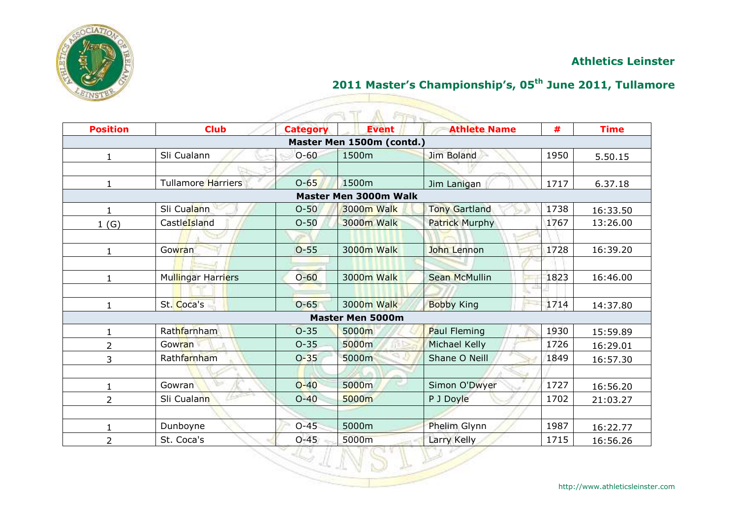

## **2011 Master's Championship's, 05th June 2011, Tullamore**

|                 |                           |                 | $ET + -$                     |                       |      |             |
|-----------------|---------------------------|-----------------|------------------------------|-----------------------|------|-------------|
| <b>Position</b> | <b>Club</b>               | <b>Category</b> | <b>Event</b>                 | <b>Athlete Name</b>   | #    | <b>Time</b> |
|                 |                           |                 | Master Men 1500m (contd.)    |                       |      |             |
| 1               | Sli Cualann               | $O - 60$        | 1500m                        | <b>Jim Boland</b>     | 1950 | 5.50.15     |
|                 |                           |                 |                              |                       |      |             |
| $\mathbf{1}$    | <b>Tullamore Harriers</b> | $O-65$          | 1500m                        | Jim Lanigan           | 1717 | 6.37.18     |
|                 |                           |                 | <b>Master Men 3000m Walk</b> |                       |      |             |
| 1               | Sli Cualann               | $O - 50$        | 3000m Walk                   | <b>Tony Gartland</b>  | 1738 | 16:33.50    |
| 1(G)            | CastleIsland              | $O - 50$        | 3000m Walk                   | <b>Patrick Murphy</b> | 1767 | 13:26.00    |
|                 |                           |                 |                              |                       |      |             |
| $\mathbf{1}$    | Gowran                    | $O-55$          | <b>3000m Walk</b>            | John Lennon           | 1728 | 16:39.20    |
|                 |                           |                 |                              |                       |      |             |
| 1               | Mullingar Harriers        | $O - 60$        | <b>3000m Walk</b>            | <b>Sean McMullin</b>  | 1823 | 16:46.00    |
|                 |                           |                 |                              |                       |      |             |
| 1               | St. Coca's                | $O - 65$        | <b>3000m Walk</b>            | <b>Bobby King</b>     | 1714 | 14:37.80    |
|                 |                           |                 | <b>Master Men 5000m</b>      |                       |      |             |
| 1               | Rathfarnham               | $O - 35$        | 5000m                        | Paul Fleming          | 1930 | 15:59.89    |
| 2               | Gowran                    | $O-35$          | 5000m                        | Michael Kelly         | 1726 | 16:29.01    |
| 3               | Rathfarnham               | $O - 35$        | 5000m                        | Shane O Neill         | 1849 | 16:57.30    |
|                 |                           |                 |                              |                       |      |             |
| $\mathbf{1}$    | Gowran                    | $O-40$          | 5000m                        | Simon O'Dwyer         | 1727 | 16:56.20    |
| 2               | Sli Cualann               | $O-40$          | 5000m                        | P J Doyle             | 1702 | 21:03.27    |
|                 |                           |                 |                              |                       |      |             |
| 1               | Dunboyne                  | $O-45$          | 5000m                        | Phelim Glynn          | 1987 | 16:22.77    |
| $\overline{2}$  | St. Coca's                | $O - 45$        | 5000m                        | Larry Kelly           | 1715 | 16:56.26    |

VSIEZ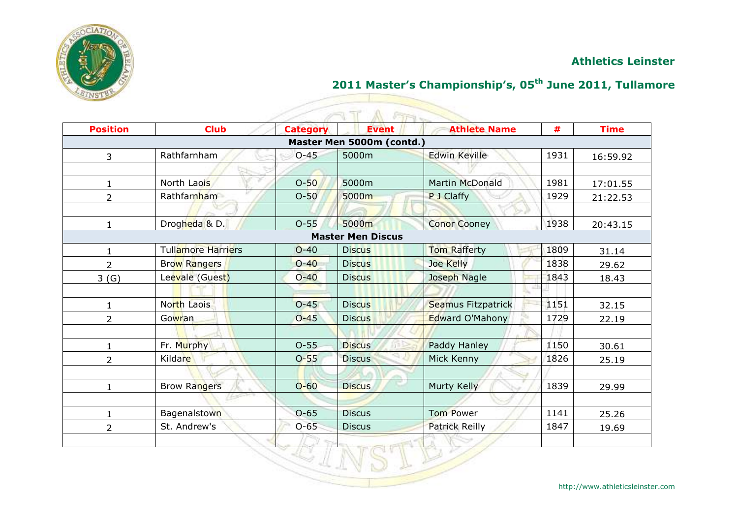

## **2011 Master's Championship's, 05th June 2011, Tullamore**

| <b>Position</b> | <b>Club</b>               | <b>Category</b> | <b>Fire</b><br><b>Event</b> | <b>Athlete Name</b>    | #    | <b>Time</b> |
|-----------------|---------------------------|-----------------|-----------------------------|------------------------|------|-------------|
|                 |                           |                 | Master Men 5000m (contd.)   |                        |      |             |
| 3               | Rathfarnham               | $O-45$          | 5000m                       | <b>Edwin Keville</b>   | 1931 | 16:59.92    |
|                 |                           |                 |                             |                        |      |             |
| $\mathbf{1}$    | North Laois               | $O-50$          | 5000m                       | <b>Martin McDonald</b> | 1981 | 17:01.55    |
| 2               | Rathfarnham               | $O-50$          | 5000m                       | P J Claffy             | 1929 | 21:22.53    |
|                 |                           |                 |                             |                        |      |             |
| $\mathbf{1}$    | Drogheda & D.             | $O-55$          | 5000m                       | <b>Conor Cooney</b>    | 1938 | 20:43.15    |
|                 |                           |                 | <b>Master Men Discus</b>    |                        |      |             |
| $\mathbf{1}$    | <b>Tullamore Harriers</b> | $O - 40$        | <b>Discus</b>               | <b>Tom Rafferty</b>    | 1809 | 31.14       |
| $\overline{2}$  | Brow Rangers              | $O - 40$        | <b>Discus</b>               | Joe Kelly              | 1838 | 29.62       |
| 3(G)            | Leevale (Guest)           | $O - 40$        | <b>Discus</b>               | Joseph Nagle           | 1843 | 18.43       |
|                 |                           |                 |                             |                        |      |             |
| $\mathbf{1}$    | North Laois               | $O - 45$        | <b>Discus</b>               | Seamus Fitzpatrick     | 1151 | 32.15       |
| $\overline{2}$  | Gowran                    | $O - 45$        | <b>Discus</b>               | Edward O'Mahony        | 1729 | 22.19       |
|                 |                           |                 |                             |                        |      |             |
| 1               | Fr. Murphy                | $O - 55$        | <b>Discus</b>               | Paddy Hanley           | 1150 | 30.61       |
| $\overline{2}$  | Kildare                   | $O - 55$        | <b>Discus</b>               | Mick Kenny             | 1826 | 25.19       |
|                 |                           |                 |                             |                        |      |             |
| 1               | <b>Brow Rangers</b>       | $O-60$          | <b>Discus</b>               | Murty Kelly            | 1839 | 29.99       |
|                 |                           |                 |                             |                        |      |             |
| 1               | <b>Bagenalstown</b>       | $O-65$          | <b>Discus</b>               | <b>Tom Power</b>       | 1141 | 25.26       |
| 2               | St. Andrew's              | $O-65$          | <b>Discus</b>               | <b>Patrick Reilly</b>  | 1847 | 19.69       |
|                 |                           |                 |                             |                        |      |             |

 $40^{\circ}$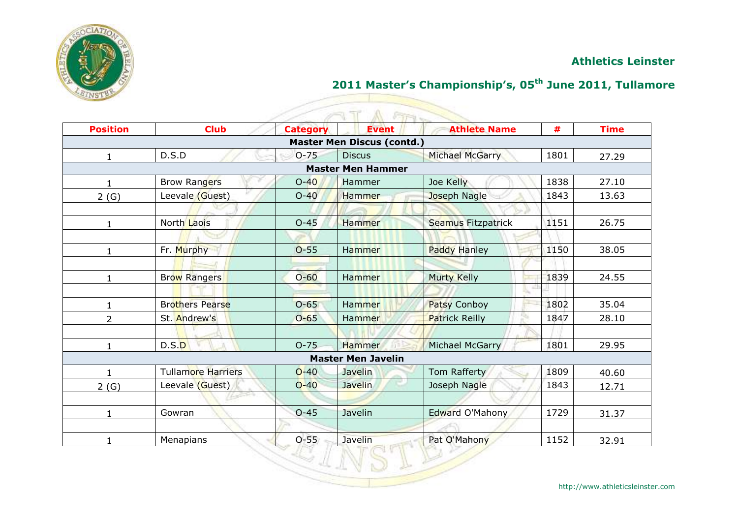

## **2011 Master's Championship's, 05th June 2011, Tullamore**

| <b>Position</b> | <b>Club</b>               | <b>Category</b> | <b>Fire</b><br><b>Event</b>       | <b>Athlete Name</b>    | #    | <b>Time</b> |
|-----------------|---------------------------|-----------------|-----------------------------------|------------------------|------|-------------|
|                 |                           |                 | <b>Master Men Discus (contd.)</b> |                        |      |             |
| $\mathbf{1}$    | D.S.D                     | $O - 75$        | <b>Discus</b>                     | <b>Michael McGarry</b> | 1801 | 27.29       |
|                 |                           |                 | <b>Master Men Hammer</b>          |                        |      |             |
| $\mathbf{1}$    | <b>Brow Rangers</b>       | $O-40$          | Hammer                            | Joe Kelly              | 1838 | 27.10       |
| 2(G)            | Leevale (Guest)           | $O-40$          | Hammer                            | Joseph Nagle           | 1843 | 13.63       |
|                 |                           |                 |                                   |                        |      |             |
| $\mathbf{1}$    | North Laois               | $O-45$          | <b>Hammer</b>                     | Seamus Fitzpatrick     | 1151 | 26.75       |
|                 |                           |                 |                                   |                        |      |             |
| 1               | Fr. Murphy                | $O-55$          | Hammer                            | <b>Paddy Hanley</b>    | 1150 | 38.05       |
|                 |                           |                 |                                   |                        |      |             |
| $\mathbf{1}$    | <b>Brow Rangers</b>       | $O - 60$        | Hammer                            | <b>Murty Kelly</b>     | 1839 | 24.55       |
|                 |                           |                 |                                   |                        |      |             |
| 1               | <b>Brothers Pearse</b>    | $O - 65$        | Hammer                            | Patsy Conboy           | 1802 | 35.04       |
| $\overline{2}$  | St. Andrew's              | $O - 65$        | Hammer                            | <b>Patrick Reilly</b>  | 1847 | 28.10       |
|                 |                           |                 |                                   |                        |      |             |
| 1               | D.S.D                     | $O - 75$        | Hammer                            | Michael McGarry        | 1801 | 29.95       |
|                 |                           |                 | <b>Master Men Javelin</b>         |                        |      |             |
| 1.              | <b>Tullamore Harriers</b> | $O-40$          | Javelin                           | Tom Rafferty           | 1809 | 40.60       |
| 2(G)            | Leevale (Guest)           | $O-40$          | Javelin                           | Joseph Nagle           | 1843 | 12.71       |
|                 |                           |                 |                                   |                        |      |             |
| $\mathbf{1}$    | Gowran                    | $O - 45$        | Javelin                           | <b>Edward O'Mahony</b> | 1729 | 31.37       |
|                 |                           |                 |                                   |                        |      |             |
| 1               | Menapians                 | $O-55$          | Javelin                           | Pat O'Mahony           | 1152 | 32.91       |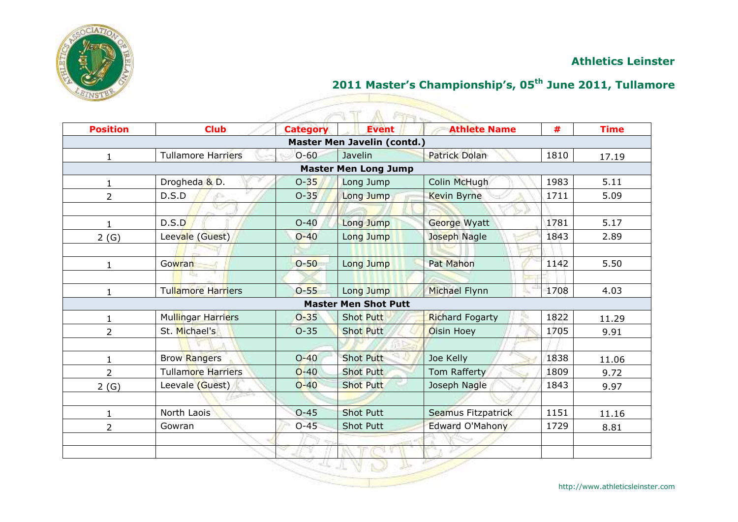

## **2011 Master's Championship's, 05th June 2011, Tullamore**

| <b>Position</b> | <b>Club</b>               | <b>Category</b> | <b>Event</b>                | <b>Athlete Name</b>    | #    | <b>Time</b> |
|-----------------|---------------------------|-----------------|-----------------------------|------------------------|------|-------------|
|                 |                           |                 | Master Men Javelin (contd.) |                        |      |             |
| $\mathbf{1}$    | <b>Tullamore Harriers</b> | $O - 60$        | Javelin                     | <b>Patrick Dolan</b>   | 1810 | 17.19       |
|                 |                           |                 | <b>Master Men Long Jump</b> |                        |      |             |
| $\mathbf{1}$    | Drogheda & D.             | $O-35$          | Long Jump                   | Colin McHugh           | 1983 | 5.11        |
| $\overline{2}$  | D.S.D<br>is Circ          | $O - 35$        | Long Jump                   | <b>Kevin Byrne</b>     | 1711 | 5.09        |
|                 |                           |                 |                             |                        |      |             |
| $\mathbf{1}$    | D.S.D                     | $O-40$          | Long Jump                   | George Wyatt           | 1781 | 5.17        |
| 2(G)            | Leevale (Guest)           | $O-40$          | Long Jump                   | Joseph Nagle           | 1843 | 2.89        |
|                 |                           |                 |                             |                        |      |             |
| $\mathbf{1}$    | Gowran                    | $O-50$          | Long Jump                   | <b>Pat Mahon</b>       | 1142 | 5.50        |
|                 | <b>ISS</b>                |                 |                             |                        |      |             |
| $\mathbf{1}$    | Tullamore Harriers        | $O-55$          | Long Jump                   | Michael Flynn          | 1708 | 4.03        |
|                 |                           |                 | <b>Master Men Shot Putt</b> |                        |      |             |
| $\mathbf{1}$    | Mullingar Harriers        | $O - 35$        | <b>Shot Putt</b>            | <b>Richard Fogarty</b> | 1822 | 11.29       |
| $\overline{2}$  | St. Michael's             | $O - 35$        | <b>Shot Putt</b>            | Oisin Hoey             | 1705 | 9.91        |
|                 |                           |                 |                             |                        |      |             |
| 1               | <b>Brow Rangers</b>       | $O - 40$        | <b>Shot Putt</b>            | Joe Kelly              | 1838 | 11.06       |
| $\overline{2}$  | <b>Tullamore Harriers</b> | $O-40$          | <b>Shot Putt</b>            | Tom Rafferty           | 1809 | 9.72        |
| 2(G)            | Leevale (Guest)           | $O-40$          | <b>Shot Putt</b>            | Joseph Nagle           | 1843 | 9.97        |
|                 |                           |                 |                             |                        |      |             |
| 1               | North Laois               | $O - 45$        | <b>Shot Putt</b>            | Seamus Fitzpatrick     | 1151 | 11.16       |
| $\overline{2}$  | Gowran                    | $O-45$          | <b>Shot Putt</b>            | Edward O'Mahony        | 1729 | 8.81        |
|                 |                           |                 |                             |                        |      |             |
|                 |                           |                 |                             |                        |      |             |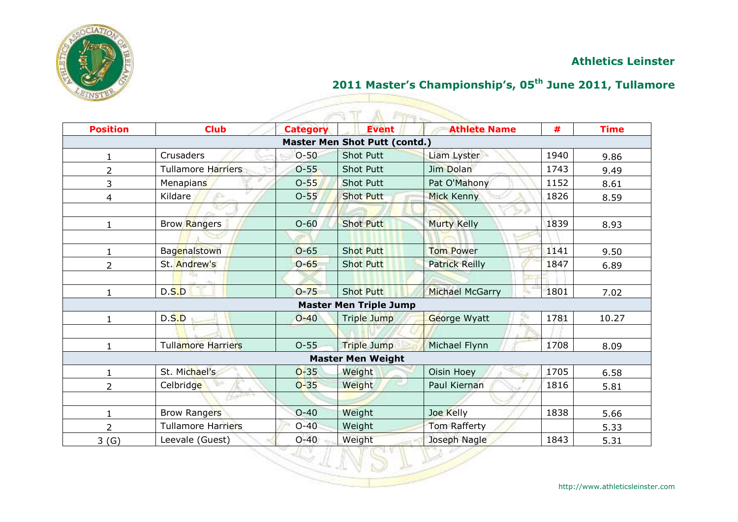

## **2011 Master's Championship's, 05th June 2011, Tullamore**

<u>Signal propinsi</u>

VSLE

|                 |                           |                 | <b>FIFT</b>                          |                        |      |             |
|-----------------|---------------------------|-----------------|--------------------------------------|------------------------|------|-------------|
| <b>Position</b> | <b>Club</b>               | <b>Category</b> | <b>Event</b>                         | <b>Athlete Name</b>    | #    | <b>Time</b> |
|                 |                           |                 | <b>Master Men Shot Putt (contd.)</b> |                        |      |             |
| 1               | Crusaders                 | $O-50$          | <b>Shot Putt</b>                     | Liam Lyster            | 1940 | 9.86        |
| 2               | <b>Tullamore Harriers</b> | $O-55$          | <b>Shot Putt</b>                     | Jim Dolan              | 1743 | 9.49        |
| 3               | <b>Menapians</b>          | $O-55$          | <b>Shot Putt</b>                     | Pat O'Mahony           | 1152 | 8.61        |
| 4               | <b>Kildare</b>            | $O-55$          | <b>Shot Putt</b>                     | <b>Mick Kenny</b>      | 1826 | 8.59        |
|                 |                           |                 |                                      |                        |      |             |
| 1               | <b>Brow Rangers</b>       | $O-60$          | <b>Shot Putt</b>                     | <b>Murty Kelly</b>     | 1839 | 8.93        |
|                 |                           |                 |                                      |                        |      |             |
|                 | Bagenalstown              | $O-65$          | <b>Shot Putt</b>                     | <b>Tom Power</b>       | 1141 | 9.50        |
| 2               | St. Andrew's              | $O - 65$        | <b>Shot Putt</b>                     | <b>Patrick Reilly</b>  | 1847 | 6.89        |
|                 |                           |                 |                                      |                        |      |             |
|                 | D.S.D                     | $O - 75$        | <b>Shot Putt</b>                     | <b>Michael McGarry</b> | 1801 | 7.02        |
|                 |                           |                 | <b>Master Men Triple Jump</b>        |                        |      |             |
| 1               | D.S.D                     | $O - 40$        | <b>Triple Jump</b>                   | George Wyatt           | 1781 | 10.27       |
|                 |                           |                 |                                      |                        |      |             |
|                 | <b>Tullamore Harriers</b> | $O-55$          | <b>Triple Jump</b>                   | Michael Flynn          | 1708 | 8.09        |
|                 |                           |                 | <b>Master Men Weight</b>             |                        |      |             |
| 1               | St. Michael's             | $O-35$          | Weight                               | Oisin Hoey             | 1705 | 6.58        |
| $\overline{2}$  | Celbridge                 | $O - 35$        | Weight                               | Paul Kiernan           | 1816 | 5.81        |
|                 | Assessed and the Second   |                 |                                      |                        |      |             |
| 1               | <b>Brow Rangers</b>       | $O-40$          | Weight                               | Joe Kelly              | 1838 | 5.66        |
| 2               | <b>Tullamore Harriers</b> | $O-40$          | Weight                               | Tom Rafferty           |      | 5.33        |
| 3(G)            | Leevale (Guest)           | $O - 40$        | Weight                               | Joseph Nagle           | 1843 | 5.31        |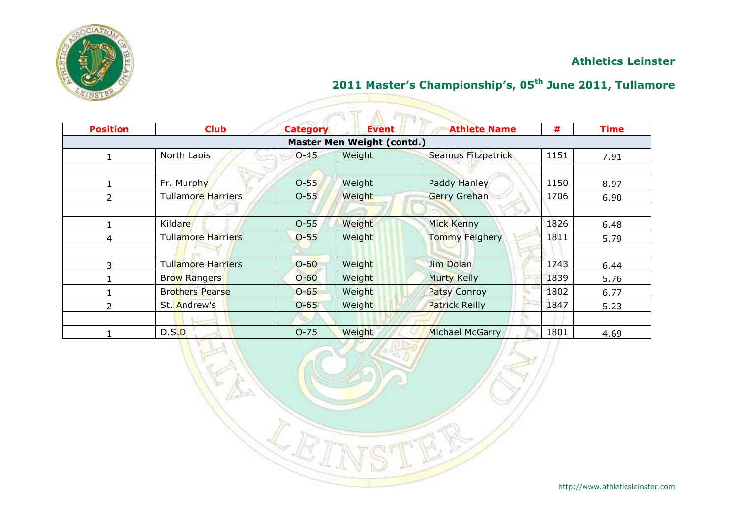

## **2011 Master's Championship's, 05th June 2011, Tullamore**

S

|                 |                           |                 | <b>FIFT</b>                       |                           |      |             |
|-----------------|---------------------------|-----------------|-----------------------------------|---------------------------|------|-------------|
| <b>Position</b> | <b>Club</b>               | <b>Category</b> | <b>Event</b>                      | <b>Athlete Name</b>       | #    | <b>Time</b> |
|                 |                           |                 | <b>Master Men Weight (contd.)</b> |                           |      |             |
|                 | North Laois               | $O - 45$        | Weight                            | <b>Seamus Fitzpatrick</b> | 1151 | 7.91        |
|                 |                           |                 |                                   |                           |      |             |
|                 | Fr. Murphy                | $O-55$          | Weight                            | Paddy Hanley              | 1150 | 8.97        |
| 2               | <b>Tullamore Harriers</b> | $O-55$          | Weight                            | <b>Gerry Grehan</b>       | 1706 | 6.90        |
|                 |                           |                 |                                   |                           |      |             |
|                 | Kildare                   | $O-55$          | Weight                            | <b>Mick Kenny</b>         | 1826 | 6.48        |
| 4               | <b>Tullamore Harriers</b> | $O - 55$        | Weight                            | <b>Tommy Feighery</b>     | 1811 | 5.79        |
|                 |                           |                 |                                   |                           |      |             |
| 3               | Tullamore Harriers        | $O - 60$        | Weight                            | Jim Dolan                 | 1743 | 6.44        |
|                 | <b>Brow Rangers</b>       | $O - 60$        | Weight                            | <b>Murty Kelly</b>        | 1839 | 5.76        |
|                 | <b>Brothers Pearse</b>    | $O - 65$        | Weight                            | Patsy Conroy              | 1802 | 6.77        |
| $\overline{2}$  | St. Andrew's              | $O - 65$        | Weight                            | <b>Patrick Reilly</b>     | 1847 | 5.23        |
|                 |                           |                 |                                   |                           |      |             |
|                 | D.S.D                     | $O - 75$        | Weight                            | <b>Michael McGarry</b>    | 1801 | 4.69        |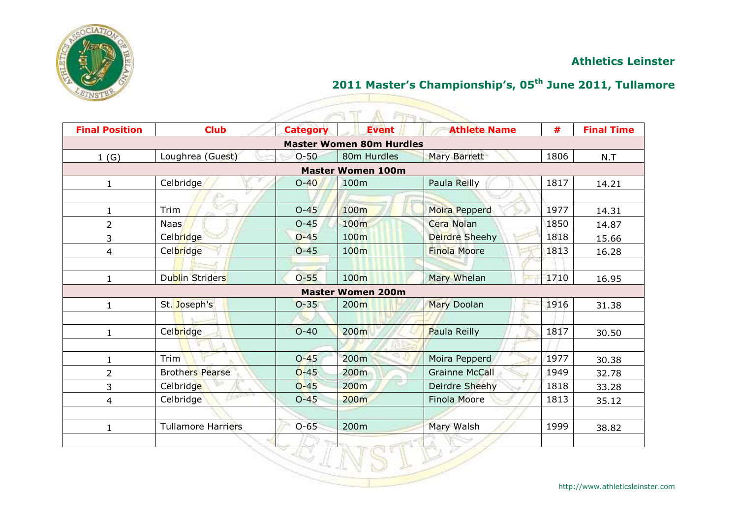

# **2011 Master's Championship's, 05th June 2011, Tullamore**

| <b>Final Position</b> | <b>Club</b>               |                 | A FIFT<br><b>Event</b>          | <b>Athlete Name</b>   | #    | <b>Final Time</b> |
|-----------------------|---------------------------|-----------------|---------------------------------|-----------------------|------|-------------------|
|                       |                           | <b>Category</b> | <b>Master Women 80m Hurdles</b> |                       |      |                   |
|                       | Loughrea (Guest)          | $O-50$          | 80m Hurdles                     | Mary Barrett          | 1806 | N.T               |
| 1(G)                  |                           |                 | <b>Master Women 100m</b>        |                       |      |                   |
| $\mathbf{1}$          | Celbridge                 | $O-40$          | 100m                            | Paula Reilly          | 1817 | 14.21             |
|                       | S.                        |                 |                                 |                       |      |                   |
| $\mathbf{1}$          | Trim                      | $O-45$          | 100m                            | Moira Pepperd         | 1977 | 14.31             |
| 2                     | <b>Naas</b>               | $O-45$          | 100m                            | Cera Nolan            | 1850 | 14.87             |
| 3                     | Celbridge                 | $O-45$          | 100m                            | Deirdre Sheehy        | 1818 | 15.66             |
| 4                     | Celbridge                 | $O - 45$        | 100 <sub>m</sub>                | <b>Finola Moore</b>   | 1813 | 16.28             |
|                       |                           |                 |                                 |                       |      |                   |
| $\mathbf{1}$          | <b>Dublin Striders</b>    | $O - 55$        | 100m                            | Mary Whelan           | 1710 | 16.95             |
|                       |                           |                 | <b>Master Women 200m</b>        |                       |      |                   |
| $\mathbf{1}$          | St. Joseph's              | $O - 35$        | 200m                            | <b>Mary Doolan</b>    | 1916 | 31.38             |
|                       |                           |                 |                                 |                       |      |                   |
| $\mathbf{1}$          | Celbridge                 | $O - 40$        | 200m                            | Paula Reilly          | 1817 | 30.50             |
|                       |                           |                 |                                 |                       |      |                   |
| $\mathbf{1}$          | Trim                      | $O - 45$        | 200m                            | Moira Pepperd         | 1977 | 30.38             |
| $\overline{2}$        | <b>Brothers Pearse</b>    | $O-45$          | 200 <sub>m</sub>                | <b>Grainne McCall</b> | 1949 | 32.78             |
| 3                     | Celbridge                 | $O-45$          | 200m                            | Deirdre Sheehy        | 1818 | 33.28             |
| $\overline{4}$        | Celbridge                 | $O-45$          | 200m                            | <b>Finola Moore</b>   | 1813 | 35.12             |
|                       |                           |                 |                                 |                       |      |                   |
| $\mathbf{1}$          | <b>Tullamore Harriers</b> | $O-65$          | 200m                            | Mary Walsh            | 1999 | 38.82             |
|                       |                           |                 |                                 |                       |      |                   |
|                       |                           |                 |                                 |                       |      |                   |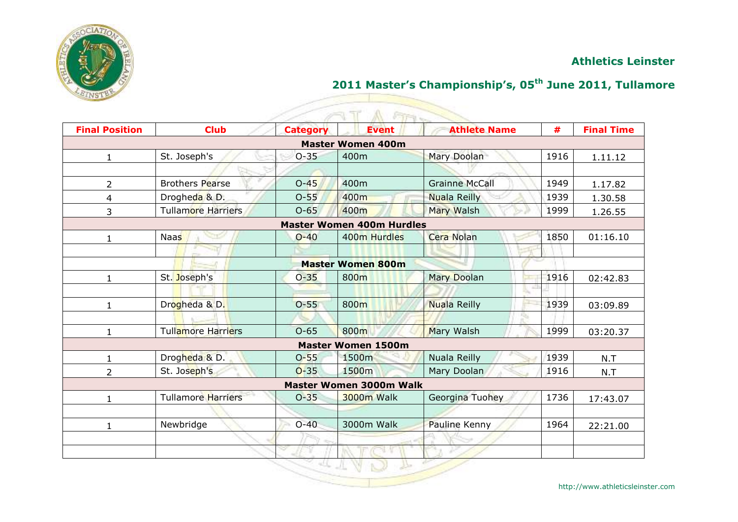

## **2011 Master's Championship's, 05th June 2011, Tullamore**

| <b>Final Position</b> | <b>Club</b>               | <b>Category</b> | <b>Event</b>                     | <b>Athlete Name</b>   | #    | <b>Final Time</b> |
|-----------------------|---------------------------|-----------------|----------------------------------|-----------------------|------|-------------------|
|                       |                           |                 | <b>Master Women 400m</b>         |                       |      |                   |
| $\mathbf{1}$          | St. Joseph's              | $O-35$          | 400m                             | <b>Mary Doolan</b>    | 1916 | 1.11.12           |
|                       |                           |                 |                                  |                       |      |                   |
| $\overline{2}$        | <b>Brothers Pearse</b>    | $O-45$          | 400m                             | <b>Grainne McCall</b> | 1949 | 1.17.82           |
| 4                     | Drogheda & D.             | $O-55$          | 400m                             | <b>Nuala Reilly</b>   | 1939 | 1.30.58           |
| 3                     | Tullamore Harriers        | $O-65$          | 400m                             | <b>Mary Walsh</b>     | 1999 | 1.26.55           |
|                       |                           |                 | <b>Master Women 400m Hurdles</b> |                       |      |                   |
| 1                     | <b>Naas</b>               | $O-40$          | 400m Hurdles                     | Cera Nolan            | 1850 | 01:16.10          |
|                       |                           |                 |                                  |                       |      |                   |
|                       |                           |                 | <b>Master Women 800m</b>         |                       |      |                   |
| $\mathbf{1}$          | St. Joseph's              | $O - 35$        | 800m                             | <b>Mary Doolan</b>    | 1916 | 02:42.83          |
|                       |                           |                 |                                  |                       |      |                   |
| $\mathbf{1}$          | Drogheda & D.             | $O - 55$        | 800m                             | <b>Nuala Reilly</b>   | 1939 | 03:09.89          |
|                       |                           |                 |                                  |                       |      |                   |
| $\mathbf{1}$          | Tullamore Harriers        | $O-65$          | 800m                             | Mary Walsh            | 1999 | 03:20.37          |
|                       |                           |                 | <b>Master Women 1500m</b>        |                       |      |                   |
| 1                     | Drogheda & D.             | $O - 55$        | 1500m                            | Nuala Reilly          | 1939 | N.T               |
| $\overline{2}$        | St. Joseph's              | $O - 35$        | 1500m                            | Mary Doolan           | 1916 | N.T               |
|                       |                           |                 | <b>Master Women 3000m Walk</b>   |                       |      |                   |
| $\mathbf{1}$          | <b>Tullamore Harriers</b> | $O - 35$        | <b>3000m Walk</b>                | Georgina Tuohey       | 1736 | 17:43.07          |
|                       |                           |                 |                                  |                       |      |                   |
| 1                     | Newbridge                 | $O-40$          | 3000m Walk                       | Pauline Kenny         | 1964 | 22:21.00          |
|                       |                           |                 |                                  |                       |      |                   |
|                       |                           |                 |                                  |                       |      |                   |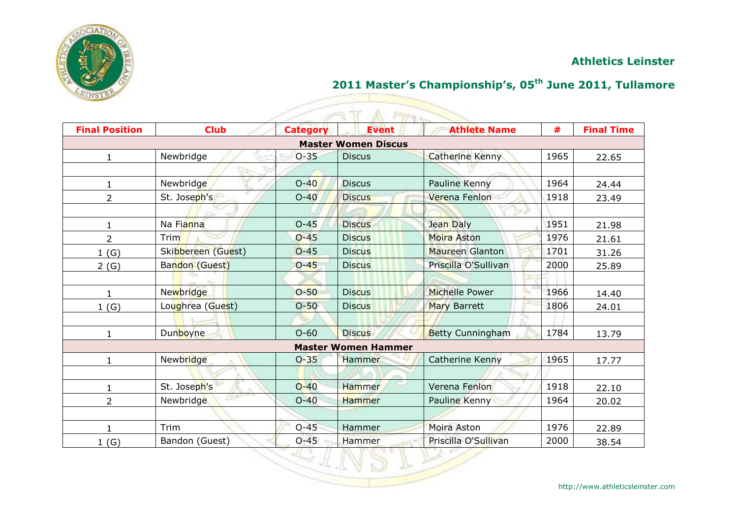

## **2011 Master's Championship's, 05th June 2011, Tullamore**

|                       |                    |                 | Fire -                     |                         |      |                   |
|-----------------------|--------------------|-----------------|----------------------------|-------------------------|------|-------------------|
| <b>Final Position</b> | <b>Club</b>        | <b>Category</b> | <b>Event</b>               | <b>Athlete Name</b>     | #    | <b>Final Time</b> |
|                       |                    |                 | <b>Master Women Discus</b> |                         |      |                   |
|                       | Newbridge          | $O - 35$        | <b>Discus</b>              | <b>Catherine Kenny</b>  | 1965 | 22.65             |
|                       |                    |                 |                            |                         |      |                   |
|                       | Newbridge          | $O-40$          | <b>Discus</b>              | Pauline Kenny           | 1964 | 24.44             |
| 2                     | St. Joseph's       | $O-40$          | <b>Discus</b>              | Verena Fenlon           | 1918 | 23.49             |
|                       |                    |                 |                            |                         |      |                   |
| 1                     | Na Fianna          | $O-45$          | <b>Discus</b>              | Jean Daly               | 1951 | 21.98             |
| 2                     | Trim               | $O - 45$        | <b>Discus</b>              | Moira Aston             | 1976 | 21.61             |
| 1(G)                  | Skibbereen (Guest) | $O - 45$        | <b>Discus</b>              | <b>Maureen Glanton</b>  | 1701 | 31.26             |
| 2(G)                  | Bandon (Guest)     | $O - 45$        | <b>Discus</b>              | Priscilla O'Sullivan    | 2000 | 25.89             |
|                       |                    |                 |                            |                         |      |                   |
| $\mathbf{1}$          | <b>Newbridge</b>   | $O-50$          | <b>Discus</b>              | Michelle Power          | 1966 | 14.40             |
| 1(G)                  | Loughrea (Guest)   | $O-50$          | <b>Discus</b>              | <b>Mary Barrett</b>     | 1806 | 24.01             |
|                       |                    |                 |                            |                         |      |                   |
| $\mathbf{1}$          | <b>Dunboyne</b>    | $O - 60$        | <b>Discus</b>              | <b>Betty Cunningham</b> | 1784 | 13.79             |
|                       |                    |                 | <b>Master Women Hammer</b> |                         |      |                   |
| 1                     | Newbridge          | $O - 35$        | Hammer                     | Catherine Kenny         | 1965 | 17.77             |
|                       |                    |                 |                            |                         |      |                   |
| 1                     | St. Joseph's       | $O-40$          | <b>Hammer</b>              | Verena Fenlon           | 1918 | 22.10             |
| $\overline{2}$        | Newbridge          | $O-40$          | Hammer                     | Pauline Kenny           | 1964 | 20.02             |
|                       |                    |                 |                            |                         |      |                   |
| 1                     | Trim               | $O-45$          | Hammer                     | Moira Aston             | 1976 | 22.89             |
| 1(G)                  | Bandon (Guest)     | $O - 45$        | Hammer                     | Priscilla O'Sullivan    | 2000 | 38.54             |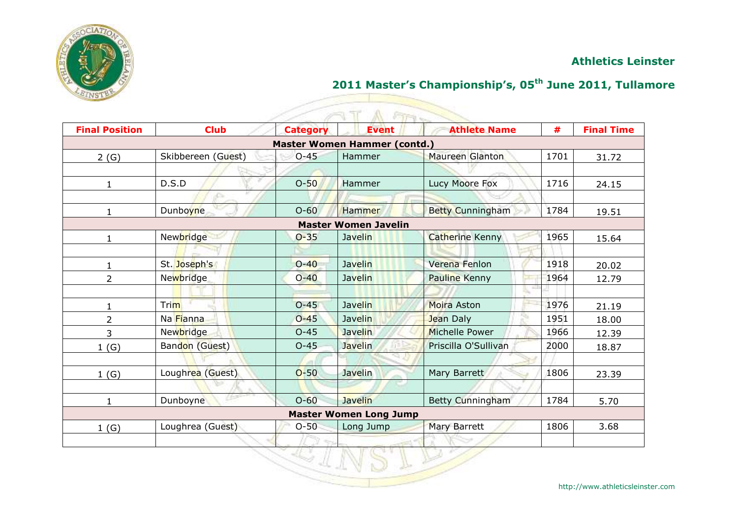

## **2011 Master's Championship's, 05th June 2011, Tullamore**

| <b>Final Position</b> | <b>Club</b>        | <b>Category</b> | <b>FIFT</b><br><b>Event</b>         | <b>Athlete Name</b>     | #    | <b>Final Time</b> |
|-----------------------|--------------------|-----------------|-------------------------------------|-------------------------|------|-------------------|
|                       |                    |                 | <b>Master Women Hammer (contd.)</b> |                         |      |                   |
| 2(G)                  | Skibbereen (Guest) | $O - 45$        | Hammer                              | <b>Maureen Glanton</b>  | 1701 | 31.72             |
|                       |                    |                 |                                     |                         |      |                   |
| $\mathbf{1}$          | D.S.D              | $O-50$          | Hammer                              | Lucy Moore Fox          | 1716 | 24.15             |
|                       | -Co.               |                 |                                     |                         |      |                   |
| $\mathbf{1}$          | <b>Dunboyne</b>    | $O-60$          | Hammer                              | <b>Betty Cunningham</b> | 1784 | 19.51             |
|                       |                    |                 | <b>Master Women Javelin</b>         |                         |      |                   |
| $\mathbf{1}$          | Newbridge          | $O - 35$        | <b>Javelin</b>                      | <b>Catherine Kenny</b>  | 1965 | 15.64             |
|                       |                    |                 |                                     |                         |      |                   |
| $\mathbf{1}$          | St. Joseph's       | $O - 40$        | <b>Javelin</b>                      | Verena Fenlon           | 1918 | 20.02             |
| $\overline{2}$        | Newbridge          | $O - 40$        | <b>Javelin</b>                      | <b>Pauline Kenny</b>    | 1964 | 12.79             |
|                       |                    |                 |                                     |                         |      |                   |
| $\mathbf{1}$          | Trim               | $O - 45$        | <b>Javelin</b>                      | Moira Aston             | 1976 | 21.19             |
| $\overline{2}$        | Na Fianna          | $O - 45$        | <b>Javelin</b>                      | Jean Daly               | 1951 | 18.00             |
| 3                     | Newbridge          | $O - 45$        | <b>Javelin</b>                      | Michelle Power          | 1966 | 12.39             |
| 1(G)                  | Bandon (Guest)     | $O-45$          | <b>Javelin</b>                      | Priscilla O'Sullivan    | 2000 | 18.87             |
|                       |                    |                 |                                     |                         |      |                   |
| 1(G)                  | Loughrea (Guest)   | $O-50$          | Javelin                             | Mary Barrett            | 1806 | 23.39             |
|                       |                    |                 |                                     |                         |      |                   |
| $\mathbf{1}$          | Dunboyne           | $O - 60$        | <b>Javelin</b>                      | Betty Cunningham        | 1784 | 5.70              |
|                       |                    |                 | <b>Master Women Long Jump</b>       |                         |      |                   |
| 1(G)                  | Loughrea (Guest)   | $O-50$          | Long Jump                           | <b>Mary Barrett</b>     | 1806 | 3.68              |
|                       |                    |                 |                                     |                         |      |                   |
|                       |                    |                 |                                     |                         |      |                   |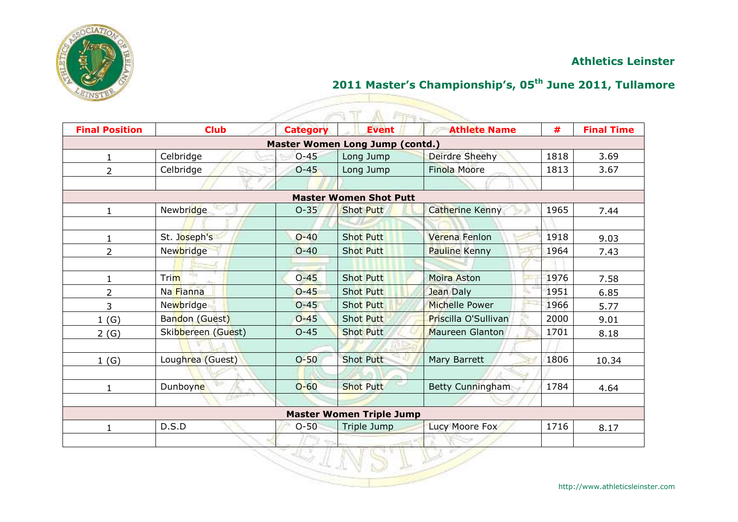

## **2011 Master's Championship's, 05th June 2011, Tullamore**

<u>Signal propinsi</u>

| <b>Final Position</b> | <b>Club</b>        | <b>Category</b> | A FIFT<br><b>Event</b>          | <b>Athlete Name</b>   | #    | <b>Final Time</b> |
|-----------------------|--------------------|-----------------|---------------------------------|-----------------------|------|-------------------|
|                       |                    |                 | Master Women Long Jump (contd.) |                       |      |                   |
| 1.                    | Celbridge          | $O - 45$        | Long Jump                       | Deirdre Sheehy        | 1818 | 3.69              |
| $\overline{2}$        | Celbridge          | $O-45$          | Long Jump                       | <b>Finola Moore</b>   | 1813 | 3.67              |
|                       |                    |                 |                                 |                       |      |                   |
|                       |                    |                 | <b>Master Women Shot Putt</b>   |                       |      |                   |
| $\mathbf{1}$          | Newbridge          | $O - 35$        | <b>Shot Putt</b>                | Catherine Kenny       | 1965 | 7.44              |
|                       |                    |                 |                                 |                       |      |                   |
| 1                     | St. Joseph's       | $O - 40$        | <b>Shot Putt</b>                | Verena Fenlon         | 1918 | 9.03              |
| $\overline{2}$        | Newbridge          | $O-40$          | <b>Shot Putt</b>                | <b>Pauline Kenny</b>  | 1964 | 7.43              |
|                       |                    |                 |                                 |                       |      |                   |
| $\mathbf{1}$          | Trim               | $O - 45$        | <b>Shot Putt</b>                | Moira Aston           | 1976 | 7.58              |
| 2                     | Na Fianna          | $O - 45$        | <b>Shot Putt</b>                | Jean Daly             | 1951 | 6.85              |
| 3                     | Newbridge          | $O - 45$        | <b>Shot Putt</b>                | <b>Michelle Power</b> | 1966 | 5.77              |
| 1(G)                  | Bandon (Guest)     | $O - 45$        | <b>Shot Putt</b>                | Priscilla O'Sullivan  | 2000 | 9.01              |
| 2(G)                  | Skibbereen (Guest) | $O - 45$        | <b>Shot Putt</b>                | Maureen Glanton       | 1701 | 8.18              |
|                       |                    |                 |                                 |                       |      |                   |
| 1(G)                  | Loughrea (Guest)   | $O-50$          | <b>Shot Putt</b>                | Mary Barrett          | 1806 | 10.34             |
|                       |                    |                 |                                 |                       |      |                   |
| $\mathbf{1}$          | Dunboyne           | $O - 60$        | <b>Shot Putt</b>                | Betty Cunningham      | 1784 | 4.64              |
|                       |                    |                 |                                 |                       |      |                   |
|                       |                    |                 | <b>Master Women Triple Jump</b> |                       |      |                   |
| 1                     | D.S.D              | $O-50$          | Triple Jump                     | Lucy Moore Fox        | 1716 | 8.17              |
|                       |                    |                 |                                 |                       |      |                   |
|                       |                    |                 |                                 |                       |      |                   |